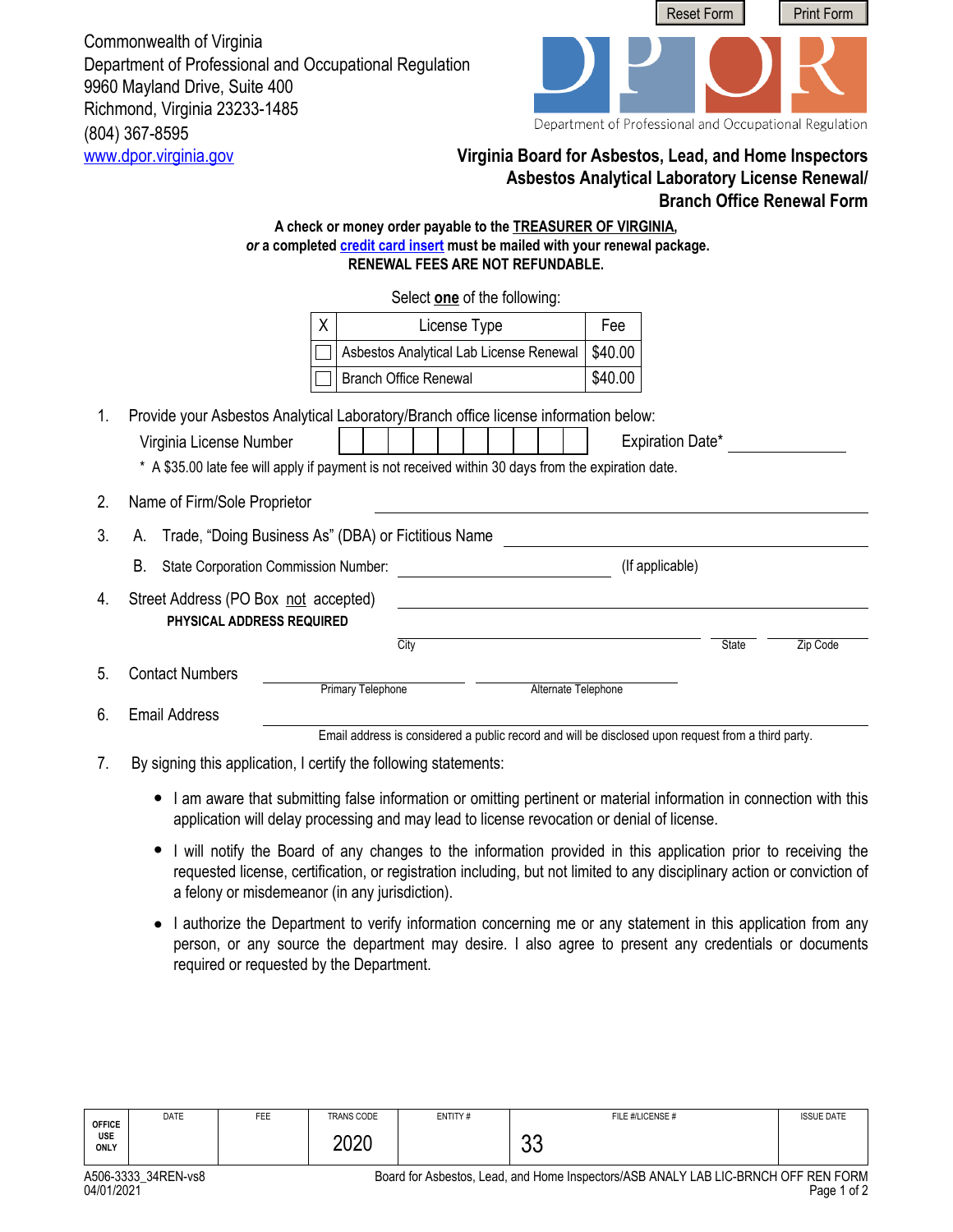(804) 367-8595 Commonwealth of Virginia Department of Professional and Occupational Regulation 9960 Mayland Drive, Suite 400 Richmond, Virginia 23233-1485



## <www.dpor.virginia.gov> **Virginia Board for Asbestos, Lead, and Home Inspectors Asbestos Analytical Laboratory License Renewal/ Branch Office Renewal Form**

## **A check or money order payable to the TREASURER OF VIRGINIA,**  *or* **a completed [credit card insert](http://www.dpor.virginia.gov/uploadedFiles/MainSite/Content/FormsandApplications/A406-CREDITCARD.pdf) must be mailed with your renewal package. RENEWAL FEES ARE NOT REFUNDABLE.**

Select **one** of the following:

|    |                                                                          |                                                                                                                                                                                                                        | Select one of the following:                                                                       |                     |         |                 |       |          |
|----|--------------------------------------------------------------------------|------------------------------------------------------------------------------------------------------------------------------------------------------------------------------------------------------------------------|----------------------------------------------------------------------------------------------------|---------------------|---------|-----------------|-------|----------|
|    |                                                                          | Χ                                                                                                                                                                                                                      | License Type                                                                                       |                     | Fee     |                 |       |          |
|    |                                                                          |                                                                                                                                                                                                                        | Asbestos Analytical Lab License Renewal                                                            |                     | \$40.00 |                 |       |          |
|    |                                                                          |                                                                                                                                                                                                                        | <b>Branch Office Renewal</b>                                                                       |                     | \$40.00 |                 |       |          |
| 1. | Virginia License Number                                                  | Provide your Asbestos Analytical Laboratory/Branch office license information below:<br><b>Expiration Date*</b><br>* A \$35.00 late fee will apply if payment is not received within 30 days from the expiration date. |                                                                                                    |                     |         |                 |       |          |
| 2. | Name of Firm/Sole Proprietor                                             |                                                                                                                                                                                                                        |                                                                                                    |                     |         |                 |       |          |
| 3. | Trade, "Doing Business As" (DBA) or Fictitious Name<br>А.                |                                                                                                                                                                                                                        |                                                                                                    |                     |         |                 |       |          |
|    | В.<br><b>State Corporation Commission Number:</b>                        |                                                                                                                                                                                                                        |                                                                                                    |                     |         | (If applicable) |       |          |
| 4. | Street Address (PO Box not accepted)<br><b>PHYSICAL ADDRESS REQUIRED</b> |                                                                                                                                                                                                                        |                                                                                                    |                     |         |                 |       |          |
|    |                                                                          |                                                                                                                                                                                                                        | City                                                                                               |                     |         |                 | State | Zip Code |
| 5. | <b>Contact Numbers</b>                                                   | Primary Telephone                                                                                                                                                                                                      |                                                                                                    | Alternate Telephone |         |                 |       |          |
| 6. | <b>Email Address</b>                                                     |                                                                                                                                                                                                                        |                                                                                                    |                     |         |                 |       |          |
|    |                                                                          |                                                                                                                                                                                                                        | Email address is considered a public record and will be disclosed upon request from a third party. |                     |         |                 |       |          |

- 7. By signing this application, I certify the following statements:
	- I am aware that submitting false information or omitting pertinent or material information in connection with this application will delay processing and may lead to license revocation or denial of license.
	- I will notify the Board of any changes to the information provided in this application prior to receiving the requested license, certification, or registration including, but not limited to any disciplinary action or conviction of a felony or misdemeanor (in any jurisdiction).
	- I authorize the Department to verify information concerning me or any statement in this application from any person, or any source the department may desire. I also agree to present any credentials or documents required or requested by the Department.

| <b>OFFICE</b><br><b>USE</b><br>ONLY | <b>DATE</b> | FEE | <b>TRANS CODE</b><br>nnnr<br>⊻∠ט | ENTITY# | n n<br>uu | FILE #/LICENSE #                                             | <b>ISSUE DATE</b> |
|-------------------------------------|-------------|-----|----------------------------------|---------|-----------|--------------------------------------------------------------|-------------------|
|                                     | $\sim$      |     | $\sim$                           | $\cdot$ | .         | $\mu$ on $\mu$ uu $\mu$ u $\mu$ n $\mu$ o nnuou off nfu fonu |                   |